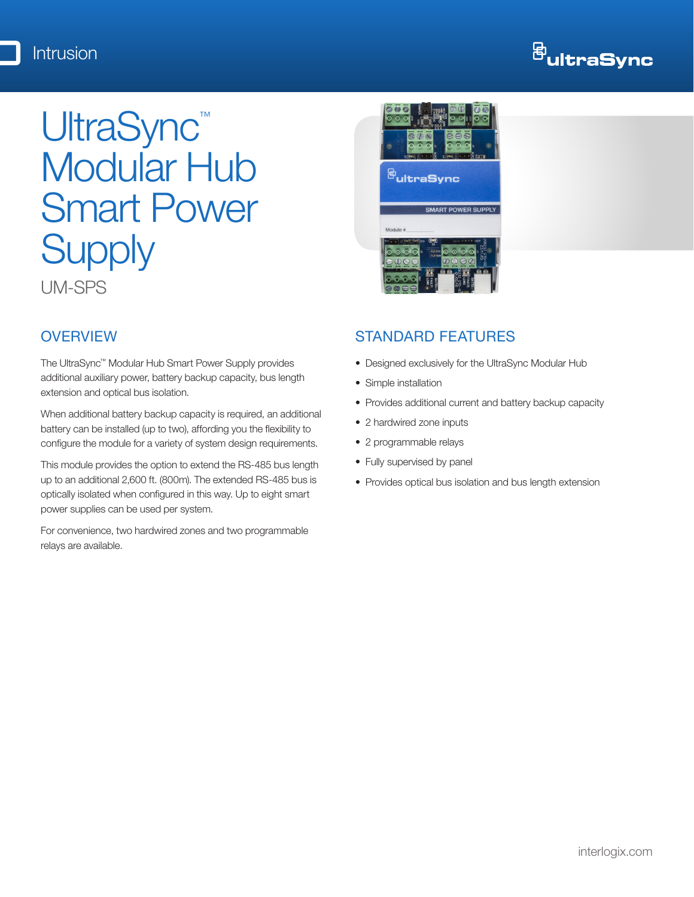# <sup>母</sup>ultraSync

# UltraSync<sup>™</sup> Modular Hub **Smart Power Supply**

UM-SPS

# **OVERVIEW**

The UltraSync™ Modular Hub Smart Power Supply provides additional auxiliary power, battery backup capacity, bus length extension and optical bus isolation.

When additional battery backup capacity is required, an additional battery can be installed (up to two), affording you the flexibility to configure the module for a variety of system design requirements.

This module provides the option to extend the RS-485 bus length up to an additional 2,600 ft. (800m). The extended RS-485 bus is optically isolated when configured in this way. Up to eight smart power supplies can be used per system.

For convenience, two hardwired zones and two programmable relays are available.



## STANDARD FEATURES

- • Designed exclusively for the UltraSync Modular Hub
- Simple installation
- Provides additional current and battery backup capacity
- 2 hardwired zone inputs
- 2 programmable relays
- Fully supervised by panel
- Provides optical bus isolation and bus length extension